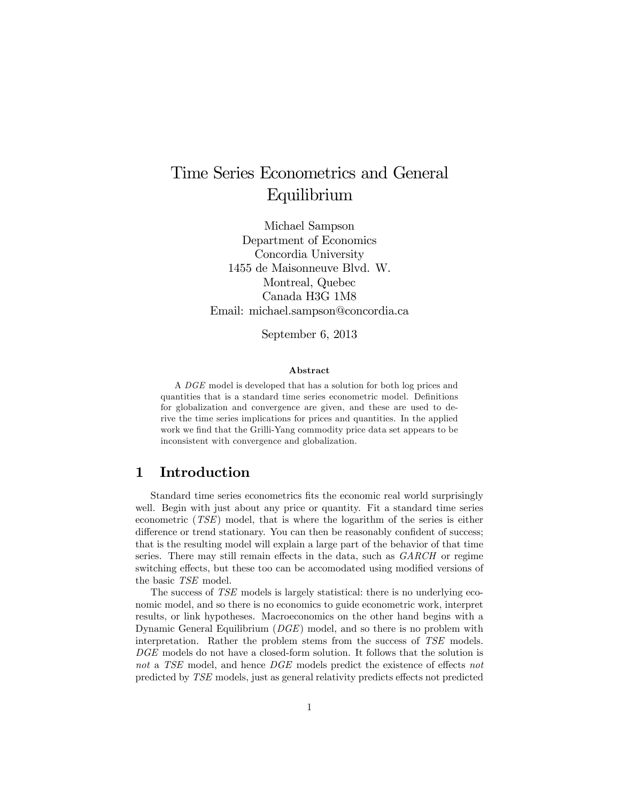# Time Series Econometrics and General Equilibrium

Michael Sampson Department of Economics Concordia University 1455 de Maisonneuve Blvd. W. Montreal, Quebec Canada H3G 1M8 Email: michael.sampson@concordia.ca

September 6, 2013

#### Abstract

A DGE model is developed that has a solution for both log prices and quantities that is a standard time series econometric model. Definitions for globalization and convergence are given, and these are used to derive the time series implications for prices and quantities. In the applied work we find that the Grilli-Yang commodity price data set appears to be inconsistent with convergence and globalization.

# 1 Introduction

Standard time series econometrics fits the economic real world surprisingly well. Begin with just about any price or quantity. Fit a standard time series econometric (TSE) model, that is where the logarithm of the series is either difference or trend stationary. You can then be reasonably confident of success; that is the resulting model will explain a large part of the behavior of that time series. There may still remain effects in the data, such as  $GARCH$  or regime switching effects, but these too can be accomodated using modified versions of the basic TSE model.

The success of TSE models is largely statistical: there is no underlying economic model, and so there is no economics to guide econometric work, interpret results, or link hypotheses. Macroeconomics on the other hand begins with a Dynamic General Equilibrium (DGE) model, and so there is no problem with interpretation. Rather the problem stems from the success of TSE models. DGE models do not have a closed-form solution. It follows that the solution is not a TSE model, and hence  $DGE$  models predict the existence of effects not predicted by TSE models, just as general relativity predicts effects not predicted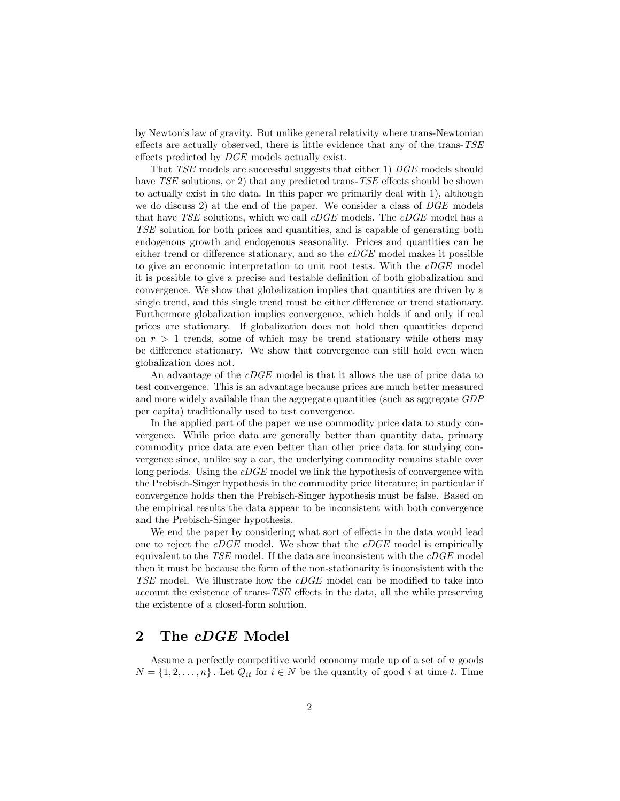by Newtonís law of gravity. But unlike general relativity where trans-Newtonian effects are actually observed, there is little evidence that any of the trans- $TSE$ effects predicted by  $DGE$  models actually exist.

That TSE models are successful suggests that either 1) DGE models should have  $TSE$  solutions, or 2) that any predicted trans- $TSE$  effects should be shown to actually exist in the data. In this paper we primarily deal with 1), although we do discuss 2) at the end of the paper. We consider a class of  $DGE$  models that have TSE solutions, which we call  $cDGE$  models. The  $cDGE$  model has a TSE solution for both prices and quantities, and is capable of generating both endogenous growth and endogenous seasonality. Prices and quantities can be either trend or difference stationary, and so the  $cDGE$  model makes it possible to give an economic interpretation to unit root tests. With the cDGE model it is possible to give a precise and testable definition of both globalization and convergence. We show that globalization implies that quantities are driven by a single trend, and this single trend must be either difference or trend stationary. Furthermore globalization implies convergence, which holds if and only if real prices are stationary. If globalization does not hold then quantities depend on  $r > 1$  trends, some of which may be trend stationary while others may be difference stationary. We show that convergence can still hold even when globalization does not.

An advantage of the *cDGE* model is that it allows the use of price data to test convergence. This is an advantage because prices are much better measured and more widely available than the aggregate quantities (such as aggregate GDP per capita) traditionally used to test convergence.

In the applied part of the paper we use commodity price data to study convergence. While price data are generally better than quantity data, primary commodity price data are even better than other price data for studying convergence since, unlike say a car, the underlying commodity remains stable over long periods. Using the *cDGE* model we link the hypothesis of convergence with the Prebisch-Singer hypothesis in the commodity price literature; in particular if convergence holds then the Prebisch-Singer hypothesis must be false. Based on the empirical results the data appear to be inconsistent with both convergence and the Prebisch-Singer hypothesis.

We end the paper by considering what sort of effects in the data would lead one to reject the  $cDGE$  model. We show that the  $cDGE$  model is empirically equivalent to the  $TSE$  model. If the data are inconsistent with the  $cDGE$  model then it must be because the form of the non-stationarity is inconsistent with the  $TSE$  model. We illustrate how the  $cDGE$  model can be modified to take into account the existence of trans- $TSE$  effects in the data, all the while preserving the existence of a closed-form solution.

# 2 The *cDGE* Model

Assume a perfectly competitive world economy made up of a set of  $n$  goods  $N = \{1, 2, \ldots, n\}$ . Let  $Q_{it}$  for  $i \in N$  be the quantity of good i at time t. Time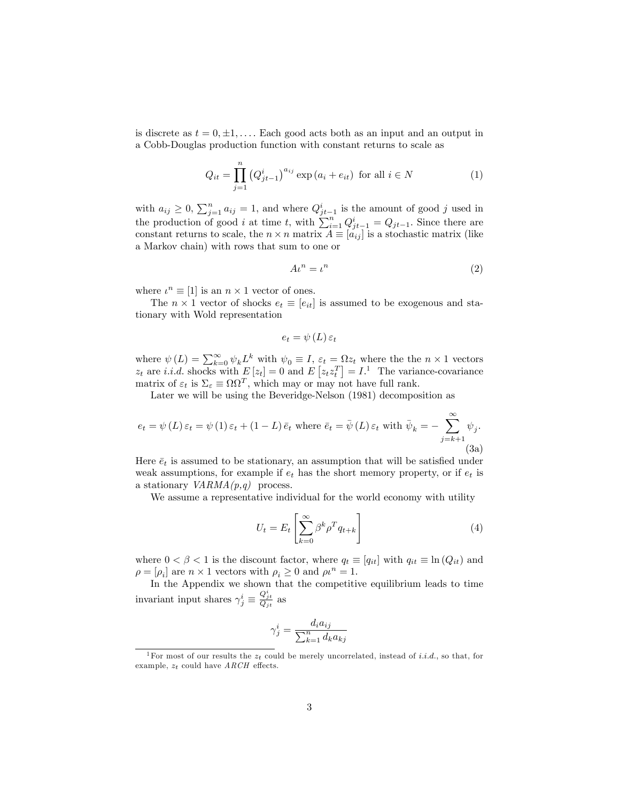is discrete as  $t = 0, \pm 1, \ldots$  Each good acts both as an input and an output in a Cobb-Douglas production function with constant returns to scale as

$$
Q_{it} = \prod_{j=1}^{n} (Q_{jt-1}^{i})^{a_{ij}} \exp(a_i + e_{it}) \text{ for all } i \in N
$$
 (1)

with  $a_{ij} \geq 0$ ,  $\sum_{j=1}^{n} a_{ij} = 1$ , and where  $Q_{jt-1}^i$  is the amount of good j used in the production of good *i* at time *t*, with  $\sum_{i=1}^{n} Q_{j,t-1}^{i} = Q_{jt-1}$ . Since there are constant returns to scale, the  $n \times n$  matrix  $A \equiv [a_{ij}]$  is a stochastic matrix (like a Markov chain) with rows that sum to one or

$$
A\iota^n = \iota^n \tag{2}
$$

where  $u^n \equiv [1]$  is an  $n \times 1$  vector of ones.

The  $n \times 1$  vector of shocks  $e_t \equiv [e_{it}]$  is assumed to be exogenous and stationary with Wold representation

$$
e_t = \psi(L)\,\varepsilon_t
$$

where  $\psi(L) = \sum_{k=0}^{\infty} \psi_k L^k$  with  $\psi_0 \equiv I$ ,  $\varepsilon_t = \Omega z_t$  where the the  $n \times 1$  vectors  $z_t$  are i.i.d. shocks with  $E[z_t] = 0$  and  $E[z_t z_t^T] = I$ .<sup>1</sup> The variance-covariance matrix of  $\varepsilon_t$  is  $\Sigma_{\varepsilon} \equiv \Omega \Omega^T$ , which may or may not have full rank.

Later we will be using the Beveridge-Nelson (1981) decomposition as

$$
e_{t} = \psi(L)\,\varepsilon_{t} = \psi(1)\,\varepsilon_{t} + (1 - L)\,\bar{e}_{t} \text{ where } \bar{e}_{t} = \bar{\psi}(L)\,\varepsilon_{t} \text{ with } \bar{\psi}_{k} = -\sum_{j=k+1}^{\infty} \psi_{j}.
$$
\n(3a)

Here  $\bar{e}_t$  is assumed to be stationary, an assumption that will be satisfied under weak assumptions, for example if  $e_t$  has the short memory property, or if  $e_t$  is a stationary  $VARMA(p,q)$  process.

We assume a representative individual for the world economy with utility

$$
U_t = E_t \left[ \sum_{k=0}^{\infty} \beta^k \rho^T q_{t+k} \right]
$$
 (4)

where  $0 < \beta < 1$  is the discount factor, where  $q_t \equiv [q_{it}]$  with  $q_{it} \equiv \ln (Q_{it})$  and  $\rho = [\rho_i]$  are  $n \times 1$  vectors with  $\rho_i \geq 0$  and  $\rho \iota^n = 1$ .

In the Appendix we shown that the competitive equilibrium leads to time invariant input shares  $\gamma^i_j \equiv$  $\frac{Q_{jt}^i}{Q_{jt}}$  as

$$
\gamma_j^i = \frac{d_i a_{ij}}{\sum_{k=1}^n d_k a_{kj}}
$$

<sup>&</sup>lt;sup>1</sup>For most of our results the  $z_t$  could be merely uncorrelated, instead of *i.i.d.*, so that, for example,  $z_t$  could have  $ARCH$  effects.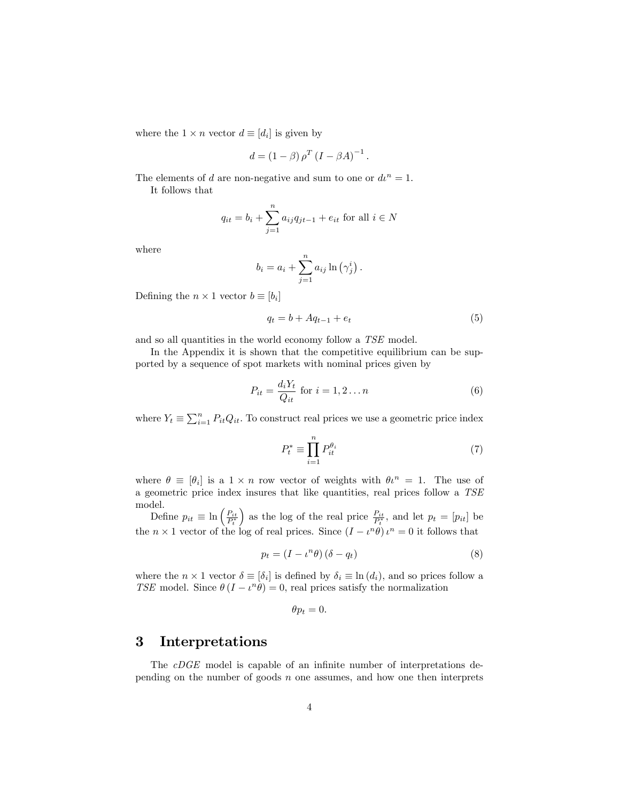where the  $1 \times n$  vector  $d \equiv [d_i]$  is given by

$$
d = (1 - \beta) \rho^T (I - \beta A)^{-1}.
$$

The elements of d are non-negative and sum to one or  $du^n = 1$ .

It follows that

$$
q_{it} = b_i + \sum_{j=1}^{n} a_{ij} q_{jt-1} + e_{it}
$$
 for all  $i \in N$ 

where

$$
b_i = a_i + \sum_{j=1}^n a_{ij} \ln(\gamma_j^i).
$$

Defining the  $n \times 1$  vector  $b \equiv [b_i]$ 

$$
q_t = b + Aq_{t-1} + e_t \tag{5}
$$

and so all quantities in the world economy follow a TSE model.

In the Appendix it is shown that the competitive equilibrium can be supported by a sequence of spot markets with nominal prices given by

$$
P_{it} = \frac{d_i Y_t}{Q_{it}} \text{ for } i = 1, 2 \dots n \tag{6}
$$

where  $Y_t \equiv \sum_{i=1}^n P_{it}Q_{it}$ . To construct real prices we use a geometric price index

$$
P_t^* \equiv \prod_{i=1}^n P_{it}^{\theta_i} \tag{7}
$$

where  $\theta \equiv [\theta_i]$  is a  $1 \times n$  row vector of weights with  $\theta_l^n = 1$ . The use of a geometric price index insures that like quantities, real prices follow a TSE model.

Define  $p_{it} \equiv \ln \left( \frac{P_{it}}{P_t^*} \right)$ ) as the log of the real price  $\frac{P_{it}}{P_t^*}$ , and let  $p_t = [p_{it}]$  be the  $n \times 1$  vector of the log of real prices. Since  $(I - \iota^n \theta) \iota^n = 0$  it follows that

$$
p_t = (I - \iota^n \theta) (\delta - q_t) \tag{8}
$$

where the  $n \times 1$  vector  $\delta \equiv [\delta_i]$  is defined by  $\delta_i \equiv \ln(d_i)$ , and so prices follow a TSE model. Since  $\theta(I - \iota^n \theta) = 0$ , real prices satisfy the normalization

$$
\theta p_t = 0.
$$

## 3 Interpretations

The  $cDGE$  model is capable of an infinite number of interpretations depending on the number of goods  $n$  one assumes, and how one then interprets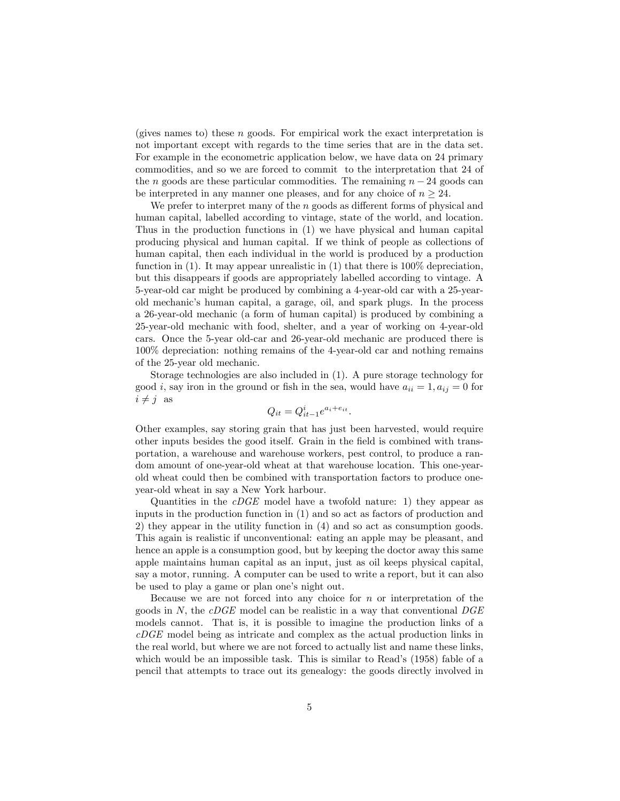(gives names to) these  $n$  goods. For empirical work the exact interpretation is not important except with regards to the time series that are in the data set. For example in the econometric application below, we have data on 24 primary commodities, and so we are forced to commit to the interpretation that 24 of the n goods are these particular commodities. The remaining  $n - 24$  goods can be interpreted in any manner one pleases, and for any choice of  $n \geq 24$ .

We prefer to interpret many of the  $n$  goods as different forms of physical and human capital, labelled according to vintage, state of the world, and location. Thus in the production functions in (1) we have physical and human capital producing physical and human capital. If we think of people as collections of human capital, then each individual in the world is produced by a production function in (1). It may appear unrealistic in (1) that there is 100% depreciation, but this disappears if goods are appropriately labelled according to vintage. A 5-year-old car might be produced by combining a 4-year-old car with a 25-yearold mechanicís human capital, a garage, oil, and spark plugs. In the process a 26-year-old mechanic (a form of human capital) is produced by combining a 25-year-old mechanic with food, shelter, and a year of working on 4-year-old cars. Once the 5-year old-car and 26-year-old mechanic are produced there is 100% depreciation: nothing remains of the 4-year-old car and nothing remains of the 25-year old mechanic.

Storage technologies are also included in (1). A pure storage technology for good i, say iron in the ground or fish in the sea, would have  $a_{ii} = 1, a_{ij} = 0$  for  $i \neq j$  as

$$
Q_{it} = Q_{it-1}^i e^{a_i + e_{it}}.
$$

Other examples, say storing grain that has just been harvested, would require other inputs besides the good itself. Grain in the Öeld is combined with transportation, a warehouse and warehouse workers, pest control, to produce a random amount of one-year-old wheat at that warehouse location. This one-yearold wheat could then be combined with transportation factors to produce oneyear-old wheat in say a New York harbour.

Quantities in the  $cDGE$  model have a twofold nature: 1) they appear as inputs in the production function in (1) and so act as factors of production and 2) they appear in the utility function in (4) and so act as consumption goods. This again is realistic if unconventional: eating an apple may be pleasant, and hence an apple is a consumption good, but by keeping the doctor away this same apple maintains human capital as an input, just as oil keeps physical capital, say a motor, running. A computer can be used to write a report, but it can also be used to play a game or plan one's night out.

Because we are not forced into any choice for  $n$  or interpretation of the goods in  $N$ , the cDGE model can be realistic in a way that conventional DGE models cannot. That is, it is possible to imagine the production links of a cDGE model being as intricate and complex as the actual production links in the real world, but where we are not forced to actually list and name these links, which would be an impossible task. This is similar to Read's (1958) fable of a pencil that attempts to trace out its genealogy: the goods directly involved in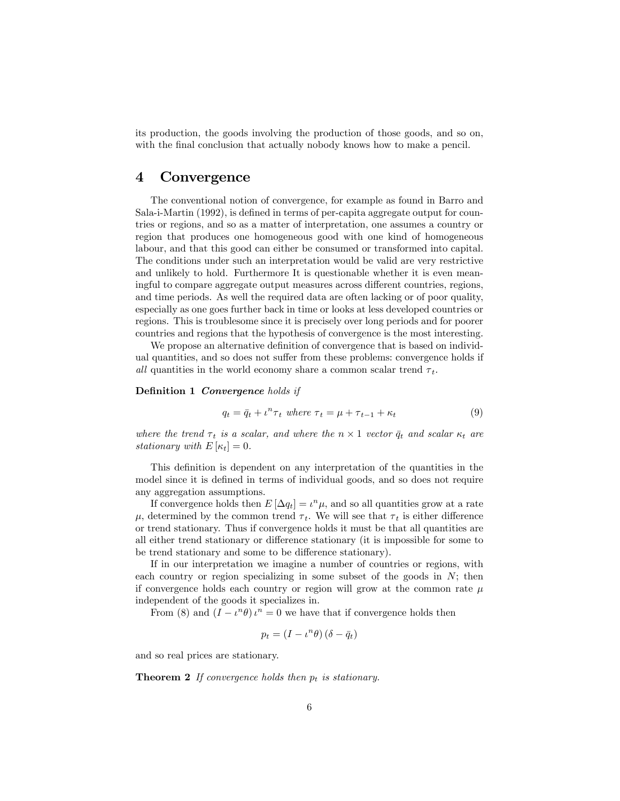its production, the goods involving the production of those goods, and so on, with the final conclusion that actually nobody knows how to make a pencil.

## 4 Convergence

The conventional notion of convergence, for example as found in Barro and Sala-i-Martin (1992), is defined in terms of per-capita aggregate output for countries or regions, and so as a matter of interpretation, one assumes a country or region that produces one homogeneous good with one kind of homogeneous labour, and that this good can either be consumed or transformed into capital. The conditions under such an interpretation would be valid are very restrictive and unlikely to hold. Furthermore It is questionable whether it is even meaningful to compare aggregate output measures across different countries, regions, and time periods. As well the required data are often lacking or of poor quality, especially as one goes further back in time or looks at less developed countries or regions. This is troublesome since it is precisely over long periods and for poorer countries and regions that the hypothesis of convergence is the most interesting.

We propose an alternative definition of convergence that is based on individual quantities, and so does not suffer from these problems: convergence holds if all quantities in the world economy share a common scalar trend  $\tau_t$ .

#### Definition 1 Convergence holds if

$$
q_t = \bar{q}_t + \iota^n \tau_t \text{ where } \tau_t = \mu + \tau_{t-1} + \kappa_t \tag{9}
$$

where the trend  $\tau_t$  is a scalar, and where the  $n \times 1$  vector  $\bar{q}_t$  and scalar  $\kappa_t$  are stationary with  $E[\kappa_t] = 0$ .

This definition is dependent on any interpretation of the quantities in the model since it is defined in terms of individual goods, and so does not require any aggregation assumptions.

If convergence holds then  $E[\Delta q_t] = \iota^n \mu$ , and so all quantities grow at a rate  $\mu$ , determined by the common trend  $\tau_t$ . We will see that  $\tau_t$  is either difference or trend stationary. Thus if convergence holds it must be that all quantities are all either trend stationary or difference stationary (it is impossible for some to be trend stationary and some to be difference stationary).

If in our interpretation we imagine a number of countries or regions, with each country or region specializing in some subset of the goods in  $N$ ; then if convergence holds each country or region will grow at the common rate  $\mu$ independent of the goods it specializes in.

From (8) and  $(I - \iota^n \theta) \iota^n = 0$  we have that if convergence holds then

$$
p_t = (I - \iota^n \theta) (\delta - \bar{q}_t)
$$

and so real prices are stationary.

**Theorem 2** If convergence holds then  $p_t$  is stationary.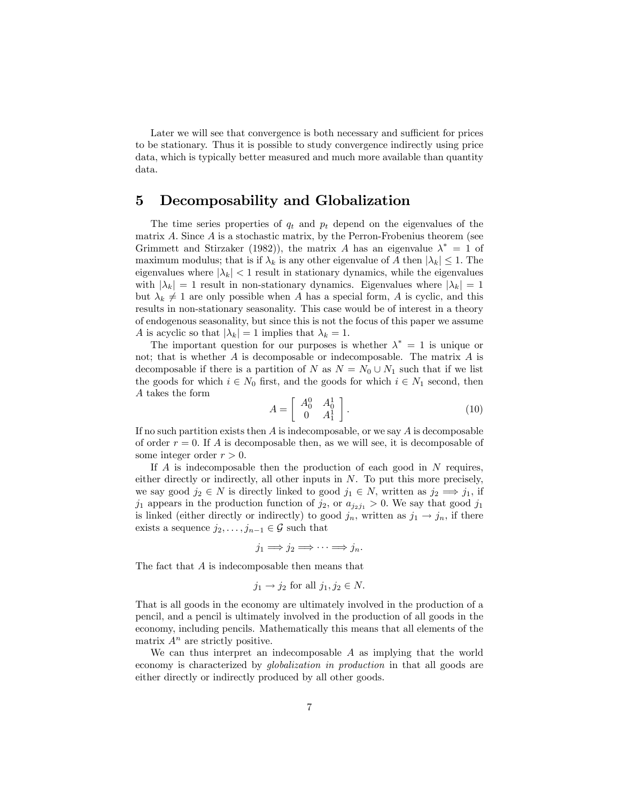Later we will see that convergence is both necessary and sufficient for prices to be stationary. Thus it is possible to study convergence indirectly using price data, which is typically better measured and much more available than quantity data.

# 5 Decomposability and Globalization

The time series properties of  $q_t$  and  $p_t$  depend on the eigenvalues of the matrix A. Since  $A$  is a stochastic matrix, by the Perron-Frobenius theorem (see Grimmett and Stirzaker (1982)), the matrix A has an eigenvalue  $\lambda^* = 1$  of maximum modulus; that is if  $\lambda_k$  is any other eigenvalue of A then  $|\lambda_k| \leq 1$ . The eigenvalues where  $|\lambda_k|$  < 1 result in stationary dynamics, while the eigenvalues with  $|\lambda_k| = 1$  result in non-stationary dynamics. Eigenvalues where  $|\lambda_k| = 1$ but  $\lambda_k \neq 1$  are only possible when A has a special form, A is cyclic, and this results in non-stationary seasonality. This case would be of interest in a theory of endogenous seasonality, but since this is not the focus of this paper we assume A is acyclic so that  $|\lambda_k| = 1$  implies that  $\lambda_k = 1$ .

The important question for our purposes is whether  $\lambda^* = 1$  is unique or not; that is whether  $A$  is decomposable or indecomposable. The matrix  $A$  is decomposable if there is a partition of N as  $N = N_0 \cup N_1$  such that if we list the goods for which  $i \in N_0$  first, and the goods for which  $i \in N_1$  second, then A takes the form

$$
A = \begin{bmatrix} A_0^0 & A_0^1 \\ 0 & A_1^1 \end{bmatrix} .
$$
 (10)

If no such partition exists then  $A$  is indecomposable, or we say  $A$  is decomposable of order  $r = 0$ . If A is decomposable then, as we will see, it is decomposable of some integer order  $r > 0$ .

If  $\overline{A}$  is indecomposable then the production of each good in  $\overline{N}$  requires, either directly or indirectly, all other inputs in  $N$ . To put this more precisely, we say good  $j_2 \in N$  is directly linked to good  $j_1 \in N$ , written as  $j_2 \implies j_1$ , if  $j_1$  appears in the production function of  $j_2$ , or  $a_{j_2j_1} > 0$ . We say that good  $j_1$ is linked (either directly or indirectly) to good  $j_n$ , written as  $j_1 \rightarrow j_n$ , if there exists a sequence  $j_2, \ldots, j_{n-1} \in \mathcal{G}$  such that

 $j_1 \Longrightarrow j_2 \Longrightarrow \cdots \Longrightarrow j_n.$ 

The fact that A is indecomposable then means that

$$
j_1 \rightarrow j_2
$$
 for all  $j_1, j_2 \in N$ .

That is all goods in the economy are ultimately involved in the production of a pencil, and a pencil is ultimately involved in the production of all goods in the economy, including pencils. Mathematically this means that all elements of the matrix  $A^n$  are strictly positive.

We can thus interpret an indecomposable  $A$  as implying that the world economy is characterized by globalization in production in that all goods are either directly or indirectly produced by all other goods.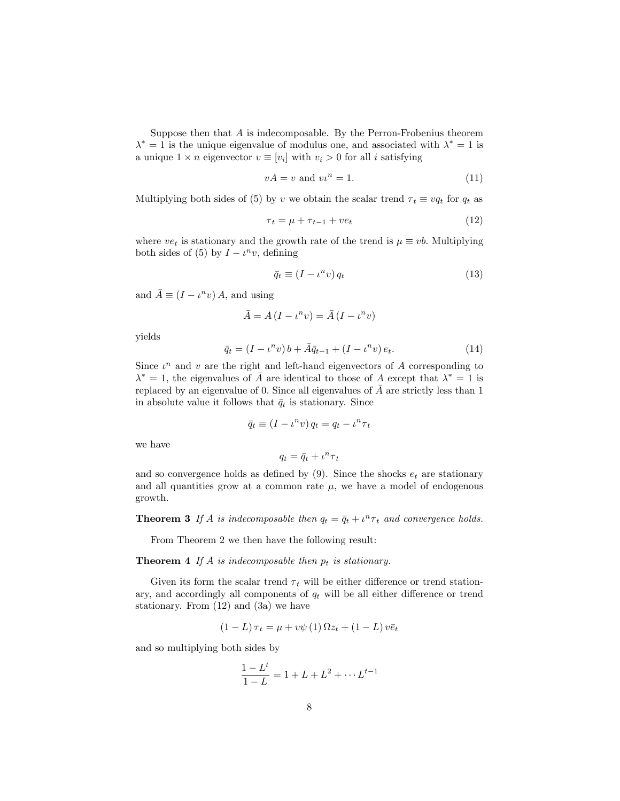Suppose then that  $A$  is indecomposable. By the Perron-Frobenius theorem  $\lambda^* = 1$  is the unique eigenvalue of modulus one, and associated with  $\lambda^* = 1$  is a unique  $1 \times n$  eigenvector  $v \equiv [v_i]$  with  $v_i > 0$  for all i satisfying

$$
vA = v \text{ and } vu^n = 1. \tag{11}
$$

Multiplying both sides of (5) by v we obtain the scalar trend  $\tau_t \equiv vq_t$  for  $q_t$  as

$$
\tau_t = \mu + \tau_{t-1} + v e_t \tag{12}
$$

where  $ve_t$  is stationary and the growth rate of the trend is  $\mu \equiv vb$ . Multiplying both sides of (5) by  $I - \iota^n v$ , defining

$$
\bar{q}_t \equiv (I - \iota^n v) q_t \tag{13}
$$

and  $\bar{A} \equiv (I - \iota^n v) A$ , and using

$$
\bar{A} = A(I - \iota^n v) = \bar{A} (I - \iota^n v)
$$

yields

$$
\bar{q}_t = (I - \iota^n v) b + \bar{A} \bar{q}_{t-1} + (I - \iota^n v) e_t.
$$
\n(14)

Since  $\iota^n$  and  $v$  are the right and left-hand eigenvectors of A corresponding to  $\lambda^* = 1$ , the eigenvalues of  $\overline{A}$  are identical to those of A except that  $\lambda^* = 1$  is replaced by an eigenvalue of 0. Since all eigenvalues of  $\overline{A}$  are strictly less than 1 in absolute value it follows that  $\bar{q}_t$  is stationary. Since

$$
\bar{q}_t \equiv (I - \iota^n v) q_t = q_t - \iota^n \tau_t
$$

we have

$$
q_t = \bar{q}_t + \iota^n \tau_t
$$

and so convergence holds as defined by  $(9)$ . Since the shocks  $e_t$  are stationary and all quantities grow at a common rate  $\mu$ , we have a model of endogenous growth.

**Theorem 3** If A is indecomposable then  $q_t = \bar{q}_t + t^n \tau_t$  and convergence holds.

From Theorem 2 we then have the following result:

**Theorem 4** If A is indecomposable then  $p_t$  is stationary.

Given its form the scalar trend  $\tau_t$  will be either difference or trend stationary, and accordingly all components of  $q_t$  will be all either difference or trend stationary. From (12) and (3a) we have

$$
(1 - L)\tau_t = \mu + v\psi(1)\Omega z_t + (1 - L)v\bar{e}_t
$$

and so multiplying both sides by

$$
\frac{1 - L^t}{1 - L} = 1 + L + L^2 + \dots + L^{t-1}
$$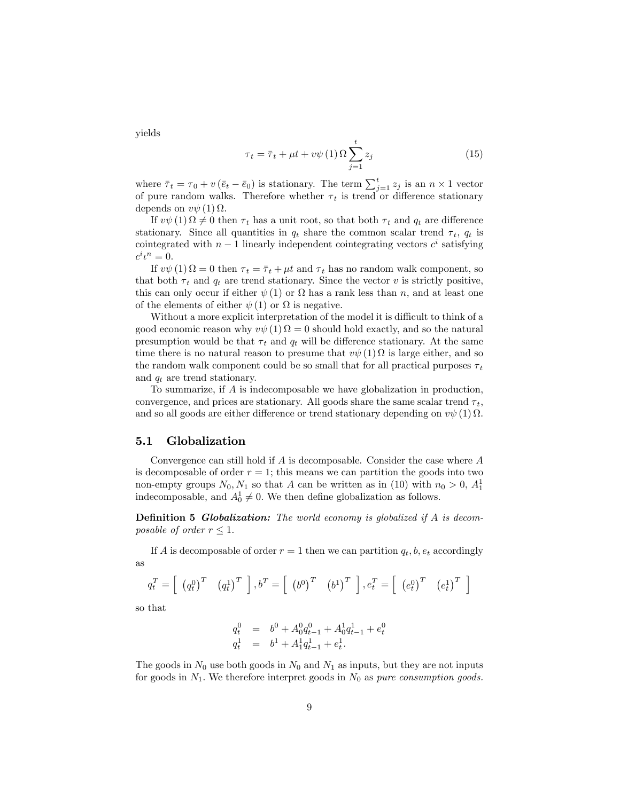yields

$$
\tau_t = \bar{\tau}_t + \mu t + v\psi \left( 1 \right) \Omega \sum_{j=1}^t z_j \tag{15}
$$

where  $\bar{\tau}_t = \tau_0 + v(\bar{e}_t - \bar{e}_0)$  is stationary. The term  $\sum_{j=1}^t z_j$  is an  $n \times 1$  vector of pure random walks. Therefore whether  $\tau_t$  is trend or difference stationary depends on  $v\psi(1)\Omega$ .

If  $v\psi(1) \Omega \neq 0$  then  $\tau_t$  has a unit root, so that both  $\tau_t$  and  $q_t$  are difference stationary. Since all quantities in  $q_t$  share the common scalar trend  $\tau_t$ ,  $q_t$  is cointegrated with  $n-1$  linearly independent cointegrating vectors  $c^i$  satisfying  $c^i\iota^n=0.$ 

If  $v\psi(1) \Omega = 0$  then  $\tau_t = \bar{\tau}_t + \mu t$  and  $\tau_t$  has no random walk component, so that both  $\tau_t$  and  $q_t$  are trend stationary. Since the vector v is strictly positive, this can only occur if either  $\psi(1)$  or  $\Omega$  has a rank less than n, and at least one of the elements of either  $\psi(1)$  or  $\Omega$  is negative.

Without a more explicit interpretation of the model it is difficult to think of a good economic reason why  $v\psi(1) \Omega = 0$  should hold exactly, and so the natural presumption would be that  $\tau_t$  and  $q_t$  will be difference stationary. At the same time there is no natural reason to presume that  $v\psi(1) \Omega$  is large either, and so the random walk component could be so small that for all practical purposes  $\tau_t$ and  $q_t$  are trend stationary.

To summarize, if A is indecomposable we have globalization in production, convergence, and prices are stationary. All goods share the same scalar trend  $\tau_t$ , and so all goods are either difference or trend stationary depending on  $v\psi(1)$   $\Omega$ .

#### 5.1 Globalization

Convergence can still hold if  $A$  is decomposable. Consider the case where  $A$ is decomposable of order  $r = 1$ ; this means we can partition the goods into two non-empty groups  $N_0, N_1$  so that A can be written as in (10) with  $n_0 > 0$ ,  $A_1^1$ indecomposable, and  $A_0^1 \neq 0$ . We then define globalization as follows.

**Definition 5 Globalization:** The world economy is globalized if  $A$  is decomposable of order  $r \leq 1$ .

If A is decomposable of order  $r = 1$  then we can partition  $q_t, b, e_t$  accordingly as

$$
q_t^T = \left[ \begin{array}{cc} \left( q_t^0 \right)^T & \left( q_t^1 \right)^T \end{array} \right], b^T = \left[ \begin{array}{cc} \left( b^0 \right)^T & \left( b^1 \right)^T \end{array} \right], e_t^T = \left[ \begin{array}{cc} \left( e_t^0 \right)^T & \left( e_t^1 \right)^T \end{array} \right]
$$

so that

$$
\begin{array}{rcl} q^0_t & = & b^0 + A^0_0 q^0_{t-1} + A^1_0 q^1_{t-1} + e^0_t \\ q^1_t & = & b^1 + A^1_1 q^1_{t-1} + e^1_t. \end{array}
$$

The goods in  $N_0$  use both goods in  $N_0$  and  $N_1$  as inputs, but they are not inputs for goods in  $N_1$ . We therefore interpret goods in  $N_0$  as pure consumption goods.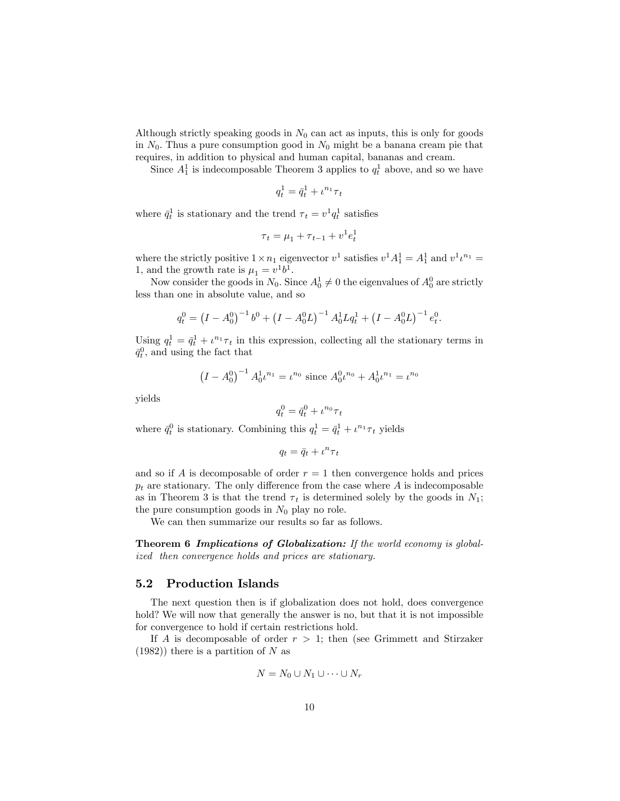Although strictly speaking goods in  $N_0$  can act as inputs, this is only for goods in  $N_0$ . Thus a pure consumption good in  $N_0$  might be a banana cream pie that requires, in addition to physical and human capital, bananas and cream.

Since  $A_1^1$  is indecomposable Theorem 3 applies to  $q_t^1$  above, and so we have

$$
q_t^1 = \bar{q}_t^1 + \iota^{n_1} \tau_t
$$

where  $\bar{q}_t^1$  is stationary and the trend  $\tau_t = v^1 q_t^1$  satisfies

$$
\tau_t = \mu_1 + \tau_{t-1} + v^1 e_t^1
$$

where the strictly positive  $1 \times n_1$  eigenvector  $v^1$  satisfies  $v^1 A_1^1 = A_1^1$  and  $v^1 v^{n_1} =$ 1, and the growth rate is  $\mu_1 = v^1 b^1$ .

Now consider the goods in  $N_0$ . Since  $A_0^1 \neq 0$  the eigenvalues of  $A_0^0$  are strictly less than one in absolute value, and so

$$
q_t^0 = (I - A_0^0)^{-1} b^0 + (I - A_0^0 L)^{-1} A_0^1 L q_t^1 + (I - A_0^0 L)^{-1} e_t^0.
$$

Using  $q_t^1 = \bar{q}_t^1 + \iota^{n_1} \tau_t$  in this expression, collecting all the stationary terms in  $\bar{q}_t^0$ , and using the fact that

$$
(I - A_0^0)^{-1} A_0^1 \iota^{n_1} = \iota^{n_0} \text{ since } A_0^0 \iota^{n_0} + A_0^1 \iota^{n_1} = \iota^{n_0}
$$

yields

$$
q_t^0 = \bar{q}_t^0 + \iota^{n_0} \tau_t
$$

where  $\bar{q}_t^0$  is stationary. Combining this  $q_t^1 = \bar{q}_t^1 + \iota^{n_1} \tau_t$  yields

$$
q_t = \bar{q}_t + \iota^n \tau_t
$$

and so if A is decomposable of order  $r = 1$  then convergence holds and prices  $p_t$  are stationary. The only difference from the case where A is indecomposable as in Theorem 3 is that the trend  $\tau_t$  is determined solely by the goods in  $N_1$ ; the pure consumption goods in  $N_0$  play no role.

We can then summarize our results so far as follows.

Theorem 6 Implications of Globalization: If the world economy is globalized then convergence holds and prices are stationary.

#### 5.2 Production Islands

The next question then is if globalization does not hold, does convergence hold? We will now that generally the answer is no, but that it is not impossible for convergence to hold if certain restrictions hold.

If A is decomposable of order  $r > 1$ ; then (see Grimmett and Stirzaker  $(1982)$ ) there is a partition of N as

$$
N = N_0 \cup N_1 \cup \cdots \cup N_r
$$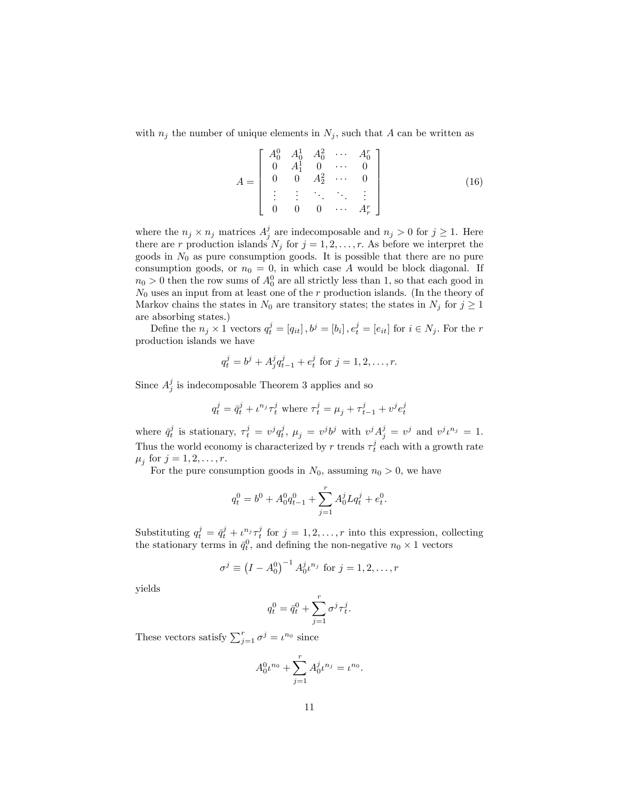with  $n_j$  the number of unique elements in  $N_j$ , such that A can be written as

$$
A = \begin{bmatrix} A_0^0 & A_0^1 & A_0^2 & \cdots & A_0^r \\ 0 & A_1^1 & 0 & \cdots & 0 \\ 0 & 0 & A_2^2 & \cdots & 0 \\ \vdots & \vdots & \ddots & \ddots & \vdots \\ 0 & 0 & 0 & \cdots & A_r^r \end{bmatrix}
$$
(16)

where the  $n_j \times n_j$  matrices  $A_j^j$  are indecomposable and  $n_j > 0$  for  $j \ge 1$ . Here there are r production islands  $N_j$  for  $j = 1, 2, \ldots, r$ . As before we interpret the goods in  $N_0$  as pure consumption goods. It is possible that there are no pure consumption goods, or  $n_0 = 0$ , in which case A would be block diagonal. If  $n_0 > 0$  then the row sums of  $A_0^0$  are all strictly less than 1, so that each good in  $N_0$  uses an input from at least one of the r production islands. (In the theory of Markov chains the states in  $N_0$  are transitory states; the states in  $N_j$  for  $j \geq 1$ are absorbing states.)

Define the  $n_j \times 1$  vectors  $q_t^j = [q_{it}]$ ,  $b^j = [b_i]$ ,  $e_t^j = [e_{it}]$  for  $i \in N_j$ . For the r production islands we have

$$
q_t^j = b^j + A_j^j q_{t-1}^j + e_t^j
$$
 for  $j = 1, 2, ..., r$ .

Since  $A_j^j$  is indecomposable Theorem 3 applies and so

$$
q^j_t = \bar{q}^j_t + \iota^{n_j} \tau^j_t
$$
 where  $\tau^j_t = \mu_j + \tau^j_{t-1} + \upsilon^j e^j_t$ 

where  $\bar{q}_t^j$  is stationary,  $\tau_t^j = v^j q_t^j$ ,  $\mu_j = v^j b^j$  with  $v^j A_j^j = v^j$  and  $v^j t^{n_j} = 1$ . Thus the world economy is characterized by r trends  $\tau_t^j$  each with a growth rate  $\mu_j$  for  $j = 1, 2, \ldots, r$ .

For the pure consumption goods in  $N_0$ , assuming  $n_0 > 0$ , we have

$$
q_t^0 = b^0 + A_0^0 q_{t-1}^0 + \sum_{j=1}^r A_0^j L q_t^j + e_t^0.
$$

Substituting  $q_t^j = \bar{q}_t^j + \iota^{n_j} \tau_t^j$  for  $j = 1, 2, \ldots, r$  into this expression, collecting the stationary terms in  $\bar{q}_t^0$ , and defining the non-negative  $n_0 \times 1$  vectors

$$
\sigma^{j} \equiv (I - A_0^0)^{-1} A_0^{j} \iota^{n_j} \text{ for } j = 1, 2, \dots, r
$$

yields

$$
q_t^0 = \bar{q}_t^0 + \sum_{j=1}^r \sigma^j \tau_t^j.
$$

These vectors satisfy  $\sum_{j=1}^{r} \sigma^j = \iota^{n_0}$  since

$$
A_0^0 \iota^{n_0} + \sum_{j=1}^r A_0^j \iota^{n_j} = \iota^{n_0}.
$$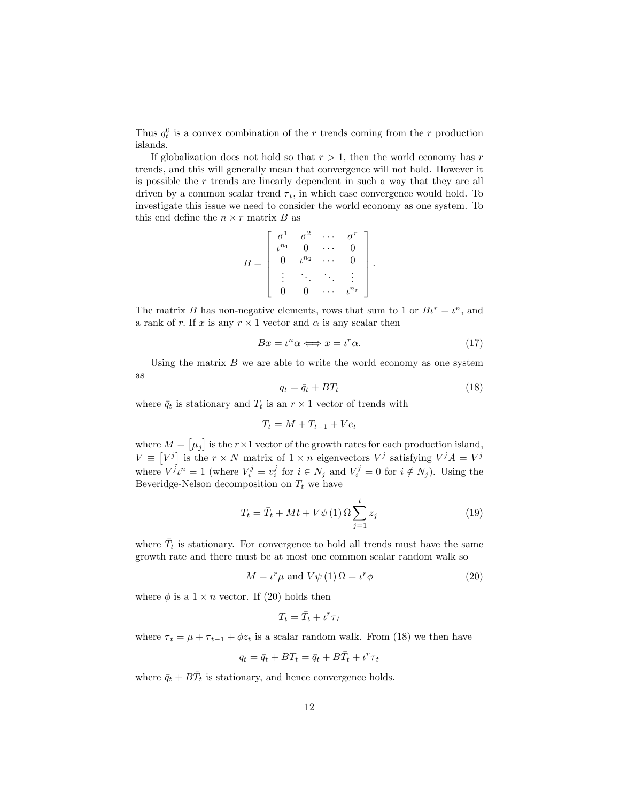Thus  $q_t^0$  is a convex combination of the r trends coming from the r production islands.

If globalization does not hold so that  $r > 1$ , then the world economy has r trends, and this will generally mean that convergence will not hold. However it is possible the r trends are linearly dependent in such a way that they are all driven by a common scalar trend  $\tau_t$ , in which case convergence would hold. To investigate this issue we need to consider the world economy as one system. To this end define the  $n \times r$  matrix B as

$$
B = \begin{bmatrix} \sigma^1 & \sigma^2 & \cdots & \sigma^r \\ \iota^{n_1} & 0 & \cdots & 0 \\ 0 & \iota^{n_2} & \cdots & 0 \\ \vdots & \ddots & \ddots & \vdots \\ 0 & 0 & \cdots & \iota^{n_r} \end{bmatrix}
$$

The matrix B has non-negative elements, rows that sum to 1 or  $Bt^r = t^n$ , and a rank of r. If x is any  $r \times 1$  vector and  $\alpha$  is any scalar then

$$
Bx = \iota^n \alpha \Longleftrightarrow x = \iota^r \alpha. \tag{17}
$$

:

Using the matrix  $B$  we are able to write the world economy as one system as

$$
q_t = \bar{q}_t + BT_t \tag{18}
$$

where  $\bar{q}_t$  is stationary and  $T_t$  is an  $r \times 1$  vector of trends with

$$
T_t = M + T_{t-1} + Ve_t
$$

where  $M = [\mu_j]$  is the  $r \times 1$  vector of the growth rates for each production island,  $V \equiv [V^j]$  is the  $r \times N$  matrix of  $1 \times n$  eigenvectors  $V^j$  satisfying  $V^j A = V^j$ where  $V^j i^n = 1$  (where  $V_i^j = v_i^j$  for  $i \in N_j$  and  $V_i^j = 0$  for  $i \notin N_j$ ). Using the Beveridge-Nelson decomposition on  $T_t$  we have

$$
T_t = \bar{T}_t + Mt + V\psi(1)\Omega \sum_{j=1}^t z_j
$$
 (19)

where  $\bar{T}_t$  is stationary. For convergence to hold all trends must have the same growth rate and there must be at most one common scalar random walk so

$$
M = \iota^r \mu \text{ and } V \psi(1) \Omega = \iota^r \phi \tag{20}
$$

where  $\phi$  is a  $1 \times n$  vector. If (20) holds then

$$
T_t = \bar{T}_t + \iota^r \tau_t
$$

where  $\tau_t = \mu + \tau_{t-1} + \phi z_t$  is a scalar random walk. From (18) we then have

$$
q_t = \bar{q}_t + BT_t = \bar{q}_t + B\bar{T}_t + \iota^r \tau_t
$$

where  $\bar{q}_t + B\bar{T}_t$  is stationary, and hence convergence holds.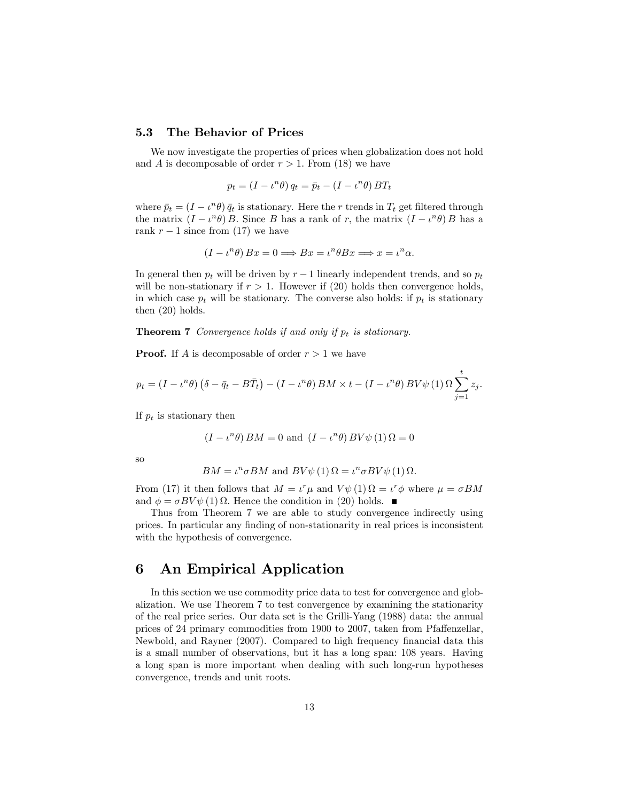#### 5.3 The Behavior of Prices

We now investigate the properties of prices when globalization does not hold and A is decomposable of order  $r > 1$ . From (18) we have

$$
p_t = (I - \iota^n \theta) q_t = \bar{p}_t - (I - \iota^n \theta) BT_t
$$

where  $\bar{p}_t = (I - \iota^n \theta) \bar{q}_t$  is stationary. Here the r trends in  $T_t$  get filtered through the matrix  $(I - \iota^n \theta) B$ . Since B has a rank of r, the matrix  $(I - \iota^n \theta) B$  has a rank  $r-1$  since from (17) we have

$$
(I - \iota^n \theta) Bx = 0 \Longrightarrow Bx = \iota^n \theta Bx \Longrightarrow x = \iota^n \alpha.
$$

In general then  $p_t$  will be driven by  $r-1$  linearly independent trends, and so  $p_t$ will be non-stationary if  $r > 1$ . However if (20) holds then convergence holds, in which case  $p_t$  will be stationary. The converse also holds: if  $p_t$  is stationary then (20) holds.

**Theorem 7** Convergence holds if and only if  $p_t$  is stationary.

**Proof.** If A is decomposable of order  $r > 1$  we have

$$
p_t = (I - \iota^n \theta) \left( \delta - \bar{q}_t - B \bar{T}_t \right) - (I - \iota^n \theta) BM \times t - (I - \iota^n \theta) BV\psi \left( 1 \right) \Omega \sum_{j=1}^t z_j.
$$

If  $p_t$  is stationary then

$$
(I - \iota^n \theta) BM = 0
$$
 and  $(I - \iota^n \theta) BV\psi(1) \Omega = 0$ 

so

$$
BM = \iota^n \sigma BM
$$
 and 
$$
BV\psi(1) \Omega = \iota^n \sigma BV \psi(1) \Omega.
$$

From (17) it then follows that  $M = \iota^r \mu$  and  $V \psi(1) \Omega = \iota^r \phi$  where  $\mu = \sigma BM$ and  $\phi = \sigma BV \psi(1) \Omega$ . Hence the condition in (20) holds.

Thus from Theorem 7 we are able to study convergence indirectly using prices. In particular any finding of non-stationarity in real prices is inconsistent with the hypothesis of convergence.

# 6 An Empirical Application

In this section we use commodity price data to test for convergence and globalization. We use Theorem 7 to test convergence by examining the stationarity of the real price series. Our data set is the Grilli-Yang (1988) data: the annual prices of 24 primary commodities from 1900 to 2007, taken from Pfaffenzellar, Newbold, and Rayner (2007). Compared to high frequency financial data this is a small number of observations, but it has a long span: 108 years. Having a long span is more important when dealing with such long-run hypotheses convergence, trends and unit roots.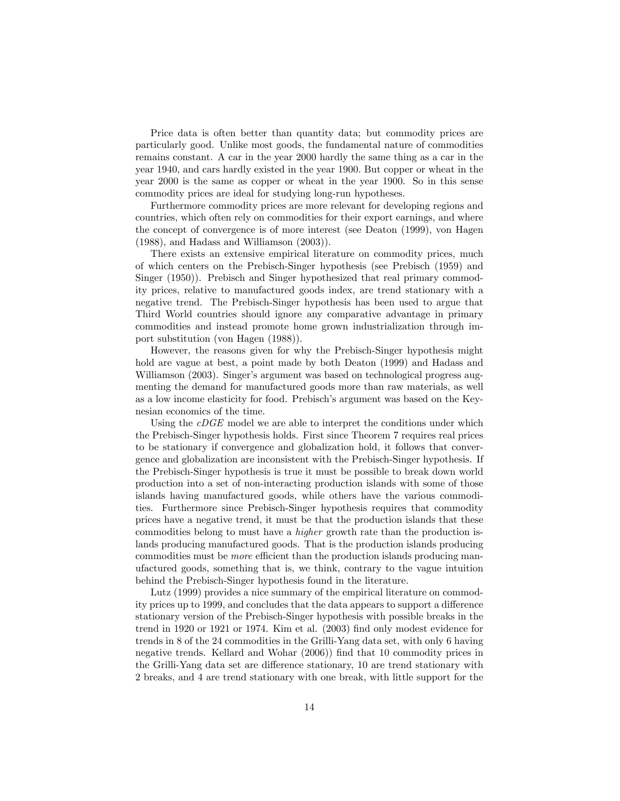Price data is often better than quantity data; but commodity prices are particularly good. Unlike most goods, the fundamental nature of commodities remains constant. A car in the year 2000 hardly the same thing as a car in the year 1940; and cars hardly existed in the year 1900: But copper or wheat in the year 2000 is the same as copper or wheat in the year 1900. So in this sense commodity prices are ideal for studying long-run hypotheses.

Furthermore commodity prices are more relevant for developing regions and countries, which often rely on commodities for their export earnings, and where the concept of convergence is of more interest (see Deaton (1999), von Hagen (1988), and Hadass and Williamson (2003)).

There exists an extensive empirical literature on commodity prices, much of which centers on the Prebisch-Singer hypothesis (see Prebisch (1959) and Singer (1950)). Prebisch and Singer hypothesized that real primary commodity prices, relative to manufactured goods index, are trend stationary with a negative trend. The Prebisch-Singer hypothesis has been used to argue that Third World countries should ignore any comparative advantage in primary commodities and instead promote home grown industrialization through import substitution (von Hagen (1988)).

However, the reasons given for why the Prebisch-Singer hypothesis might hold are vague at best, a point made by both Deaton (1999) and Hadass and Williamson (2003). Singer's argument was based on technological progress augmenting the demand for manufactured goods more than raw materials, as well as a low income elasticity for food. Prebisch's argument was based on the Keynesian economics of the time.

Using the *cDGE* model we are able to interpret the conditions under which the Prebisch-Singer hypothesis holds. First since Theorem 7 requires real prices to be stationary if convergence and globalization hold, it follows that convergence and globalization are inconsistent with the Prebisch-Singer hypothesis. If the Prebisch-Singer hypothesis is true it must be possible to break down world production into a set of non-interacting production islands with some of those islands having manufactured goods, while others have the various commodities. Furthermore since Prebisch-Singer hypothesis requires that commodity prices have a negative trend, it must be that the production islands that these commodities belong to must have a higher growth rate than the production islands producing manufactured goods. That is the production islands producing commodities must be *more* efficient than the production islands producing manufactured goods, something that is, we think, contrary to the vague intuition behind the Prebisch-Singer hypothesis found in the literature.

Lutz (1999) provides a nice summary of the empirical literature on commodity prices up to 1999, and concludes that the data appears to support a difference stationary version of the Prebisch-Singer hypothesis with possible breaks in the trend in 1920 or 1921 or 1974. Kim et al.  $(2003)$  find only modest evidence for trends in 8 of the 24 commodities in the Grilli-Yang data set, with only 6 having negative trends. Kellard and Wohar (2006)) find that 10 commodity prices in the Grilli-Yang data set are difference stationary, 10 are trend stationary with 2 breaks, and 4 are trend stationary with one break, with little support for the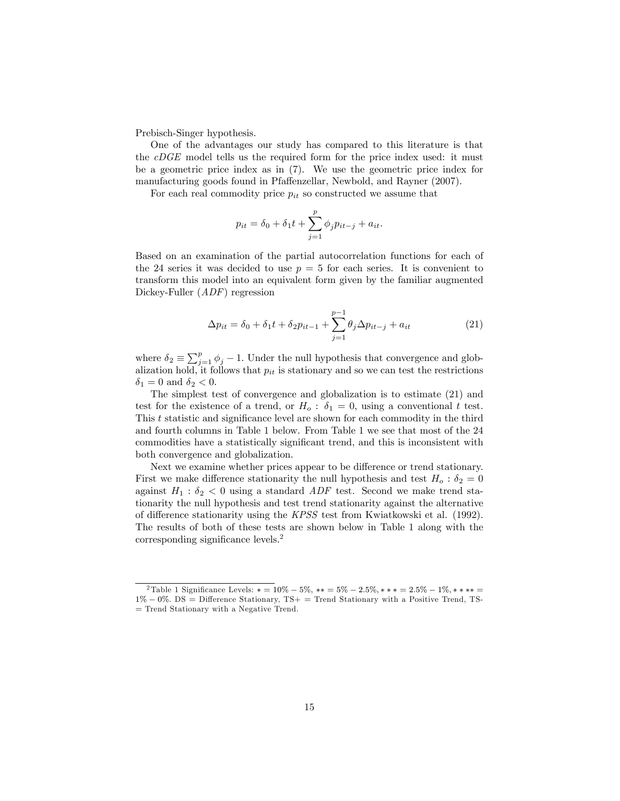Prebisch-Singer hypothesis.

One of the advantages our study has compared to this literature is that the cDGE model tells us the required form for the price index used: it must be a geometric price index as in (7). We use the geometric price index for manufacturing goods found in Pfaffenzellar, Newbold, and Rayner (2007).

For each real commodity price  $p_{it}$  so constructed we assume that

$$
p_{it} = \delta_0 + \delta_1 t + \sum_{j=1}^{p} \phi_j p_{it-j} + a_{it}.
$$

Based on an examination of the partial autocorrelation functions for each of the 24 series it was decided to use  $p = 5$  for each series. It is convenient to transform this model into an equivalent form given by the familiar augmented Dickey-Fuller (*ADF*) regression

$$
\Delta p_{it} = \delta_0 + \delta_1 t + \delta_2 p_{it-1} + \sum_{j=1}^{p-1} \theta_j \Delta p_{it-j} + a_{it} \tag{21}
$$

where  $\delta_2 \equiv \sum_{j=1}^p \phi_j - 1$ . Under the null hypothesis that convergence and globalization hold, it follows that  $p_{it}$  is stationary and so we can test the restrictions  $\delta_1 = 0$  and  $\delta_2 < 0$ .

The simplest test of convergence and globalization is to estimate (21) and test for the existence of a trend, or  $H_0$ :  $\delta_1 = 0$ , using a conventional t test. This t statistic and significance level are shown for each commodity in the third and fourth columns in Table 1 below. From Table 1 we see that most of the 24 commodities have a statistically significant trend, and this is inconsistent with both convergence and globalization.

Next we examine whether prices appear to be difference or trend stationary. First we make difference stationarity the null hypothesis and test  $H_0$ :  $\delta_2 = 0$ against  $H_1$ :  $\delta_2$  < 0 using a standard *ADF* test. Second we make trend stationarity the null hypothesis and test trend stationarity against the alternative of difference stationarity using the  $KPSS$  test from Kwiatkowski et al. (1992). The results of both of these tests are shown below in Table 1 along with the  $corresponding$  significance levels.<sup>2</sup>

<sup>&</sup>lt;sup>2</sup>Table 1 Significance Levels:  $* = 10\% - 5\%, ** = 5\% - 2.5\%, ** = 2.5\% - 1\%, ** ** =$  $1\% - 0\%$ . DS = Difference Stationary, TS+ = Trend Stationary with a Positive Trend, TS-= Trend Stationary with a Negative Trend.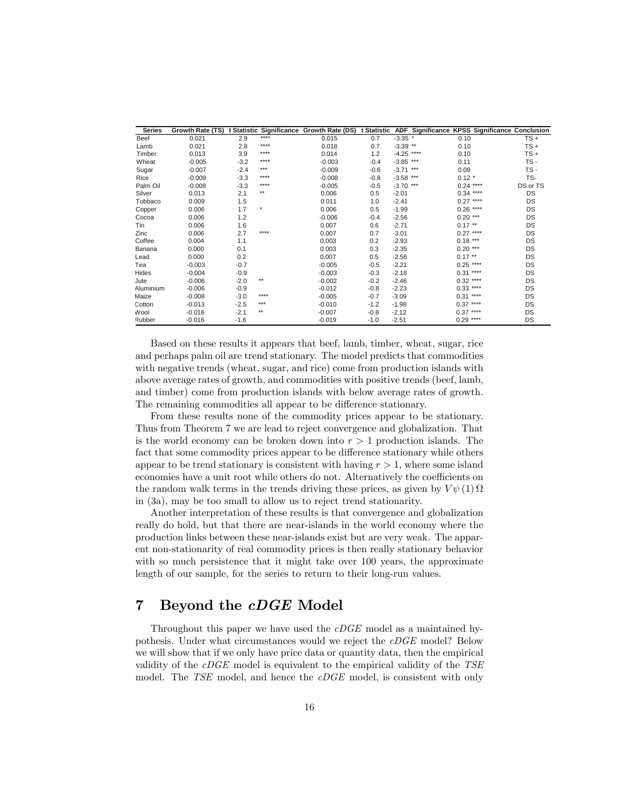| <b>Series</b> |          |        |         | Growth Rate (TS) t Statistic Significance Growth Rate (DS) t Statistic |        |              | ADF Significance KPSS Significance Conclusion |             |           |
|---------------|----------|--------|---------|------------------------------------------------------------------------|--------|--------------|-----------------------------------------------|-------------|-----------|
| Beef          | 0.021    | 2.9    | ****    | 0.015                                                                  | 0.7    | $-3.35$ *    |                                               | 0.10        | $TS +$    |
| Lamb          | 0.021    | 2.8    | ****    | 0.018                                                                  | 0.7    | $-3.39$ **   |                                               | 0.10        | $TS +$    |
| Timber        | 0.013    | 3.9    | ****    | 0.014                                                                  | 1.2    | $-4.25$ **** |                                               | 0.10        | $TS +$    |
| Wheat         | $-0.005$ | $-3.2$ | ****    | $-0.003$                                                               | $-0.4$ | $-3.85$ ***  |                                               | 0.11        | TS-       |
| Sugar         | $-0.007$ | $-2.4$ | ***     | $-0.009$                                                               | $-0.6$ | $-3.71$ ***  |                                               | 0.09        | TS-       |
| Rice          | $-0.009$ | $-3.3$ | ****    | $-0.008$                                                               | $-0.8$ | $-3.58$ ***  |                                               | $0.12 *$    | TS-       |
| Palm Oil      | $-0.008$ | $-3.3$ | ****    | $-0.005$                                                               | $-0.5$ | $-3.70$ ***  |                                               | $0.24$ **** | DS or TS  |
| Silver        | 0.013    | 2.1    | **      | 0.006                                                                  | 0.5    | $-2.01$      |                                               | $0.34***$   | DS        |
| Tobbaco       | 0.009    | 1.5    |         | 0.011                                                                  | 1.0    | $-2.41$      |                                               | $0.27***$   | DS        |
| Copper        | 0.006    | 1.7    | $\star$ | 0.006                                                                  | 0.5    | $-1.99$      |                                               | $0.26$ **** | DS        |
| Cocoa         | 0.006    | 1.2    |         | $-0.006$                                                               | $-0.4$ | $-2.56$      |                                               | $0.20***$   | DS        |
| Tin           | 0.006    | 1.6    |         | 0.007                                                                  | 0.6    | $-2.71$      |                                               | $0.17***$   | DS        |
| Zinc          | 0.006    | 2.7    | ****    | 0.007                                                                  | 0.7    | $-3.01$      |                                               | $0.27***$   | DS        |
| Coffee        | 0.004    | 1.1    |         | 0.003                                                                  | 0.2    | $-2.93$      |                                               | $0.18***$   | DS        |
| Banana        | 0.000    | 0.1    |         | 0.003                                                                  | 0.3    | $-2.35$      |                                               | $0.20***$   | DS        |
| Lead          | 0.000    | 0.2    |         | 0.007                                                                  | 0.5    | $-2.56$      |                                               | $0.17***$   | DS        |
| Tea           | $-0.003$ | $-0.7$ |         | $-0.005$                                                               | $-0.5$ | $-2.21$      |                                               | $0.25$ **** | DS        |
| Hides         | $-0.004$ | $-0.9$ |         | $-0.003$                                                               | $-0.3$ | $-2.18$      |                                               | $0.31***$   | <b>DS</b> |
| Jute          | $-0.006$ | $-2.0$ | **      | $-0.002$                                                               | $-0.2$ | $-2.46$      |                                               | $0.32$ **** | DS        |
| Aluminium     | $-0.006$ | $-0.9$ |         | $-0.012$                                                               | $-0.8$ | $-2.23$      |                                               | $0.33***$   | DS        |
| Maize         | $-0.008$ | $-3.0$ | ****    | $-0.005$                                                               | $-0.7$ | $-3.09$      |                                               | $0.31***$   | DS        |
| Cotton        | $-0.013$ | $-2.5$ | ***     | $-0.010$                                                               | $-1.2$ | $-1.98$      |                                               | $0.37***$   | DS        |
| Wool          | $-0.016$ | $-2.1$ | **      | $-0.007$                                                               | $-0.8$ | $-2.12$      |                                               | $0.37***$   | <b>DS</b> |
| Rubber        | $-0.016$ | $-1.6$ |         | $-0.019$                                                               | $-1.0$ | $-2.51$      |                                               | $0.29$ **** | DS        |

Based on these results it appears that beef, lamb, timber, wheat, sugar, rice and perhaps palm oil are trend stationary. The model predicts that commodities with negative trends (wheat, sugar, and rice) come from production islands with above average rates of growth, and commodities with positive trends (beef, lamb, and timber) come from production islands with below average rates of growth. The remaining commodities all appear to be difference stationary.

From these results none of the commodity prices appear to be stationary. Thus from Theorem 7 we are lead to reject convergence and globalization. That is the world economy can be broken down into  $r > 1$  production islands. The fact that some commodity prices appear to be difference stationary while others appear to be trend stationary is consistent with having  $r > 1$ , where some island economies have a unit root while others do not. Alternatively the coefficients on the random walk terms in the trends driving these prices, as given by  $V\psi(1)\Omega$ in (3a), may be too small to allow us to reject trend stationarity.

Another interpretation of these results is that convergence and globalization really do hold, but that there are near-islands in the world economy where the production links between these near-islands exist but are very weak. The apparent non-stationarity of real commodity prices is then really stationary behavior with so much persistence that it might take over 100 years, the approximate length of our sample, for the series to return to their long-run values.

# 7 Beyond the *cDGE* Model

Throughout this paper we have used the cDGE model as a maintained hypothesis. Under what circumstances would we reject the cDGE model? Below we will show that if we only have price data or quantity data, then the empirical validity of the cDGE model is equivalent to the empirical validity of the TSE model. The TSE model, and hence the cDGE model, is consistent with only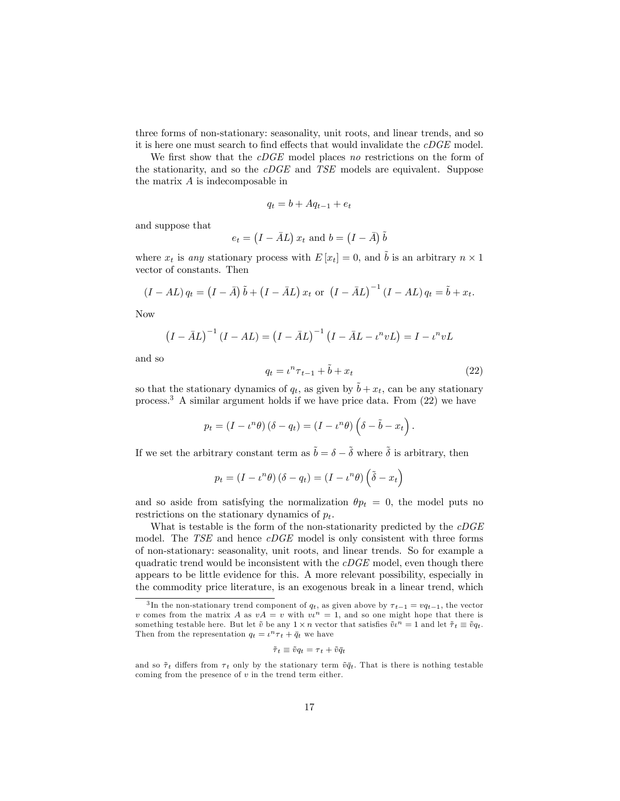three forms of non-stationary: seasonality, unit roots, and linear trends, and so it is here one must search to find effects that would invalidate the  $cDGE$  model.

We first show that the  $cDGE$  model places no restrictions on the form of the stationarity, and so the cDGE and TSE models are equivalent. Suppose the matrix A is indecomposable in

$$
q_t = b + Aq_{t-1} + e_t
$$

and suppose that

$$
e_t = (I - \bar{A}L) x_t \text{ and } b = (I - \bar{A}) \tilde{b}
$$

where  $x_t$  is any stationary process with  $E[x_t] = 0$ , and  $\tilde{b}$  is an arbitrary  $n \times 1$ vector of constants. Then

$$
(I - AL) q_t = (I - \overline{A}) \tilde{b} + (I - \overline{A}L) x_t \text{ or } (I - \overline{A}L)^{-1} (I - AL) q_t = \tilde{b} + x_t.
$$

Now

$$
(I - \bar{A}L)^{-1} (I - AL) = (I - \bar{A}L)^{-1} (I - \bar{A}L - \iota^n vL) = I - \iota^n vL
$$

and so

$$
q_t = \iota^n \tau_{t-1} + \tilde{b} + x_t \tag{22}
$$

so that the stationary dynamics of  $q_t$ , as given by  $\tilde{b} + x_t$ , can be any stationary process.<sup>3</sup> A similar argument holds if we have price data. From (22) we have

$$
p_t = (I - \iota^n \theta) (\delta - q_t) = (I - \iota^n \theta) (\delta - \tilde{b} - x_t).
$$

If we set the arbitrary constant term as  $\tilde{b} = \delta - \tilde{\delta}$  where  $\tilde{\delta}$  is arbitrary, then

$$
p_t = (I - \iota^n \theta) (\delta - q_t) = (I - \iota^n \theta) (\tilde{\delta} - x_t)
$$

and so aside from satisfying the normalization  $\theta p_t = 0$ , the model puts no restrictions on the stationary dynamics of  $p_t$ .

What is testable is the form of the non-stationarity predicted by the  $cDGE$ model. The TSE and hence cDGE model is only consistent with three forms of non-stationary: seasonality, unit roots, and linear trends. So for example a quadratic trend would be inconsistent with the  $cDGE$  model, even though there appears to be little evidence for this. A more relevant possibility, especially in the commodity price literature, is an exogenous break in a linear trend, which

$$
\tilde{\tau}_t \equiv \tilde{v}q_t = \tau_t + \tilde{v}\bar{q}_t
$$

<sup>&</sup>lt;sup>3</sup>In the non-stationary trend component of  $q_t$ , as given above by  $\tau_{t-1} = vq_{t-1}$ , the vector v comes from the matrix A as  $vA = v$  with  $vu^n = 1$ , and so one might hope that there is something testable here. But let  $\tilde{v}$  be any  $1 \times n$  vector that satisfies  $\tilde{v} \iota^n = 1$  and let  $\tilde{\tau}_t \equiv \tilde{v} q_t$ . Then from the representation  $q_t = \iota^n \tau_t + \bar{q}_t$  we have

and so  $\tilde{\tau}_t$  differs from  $\tau_t$  only by the stationary term  $\tilde{v}\bar{q}_t$ . That is there is nothing testable coming from the presence of  $v$  in the trend term either.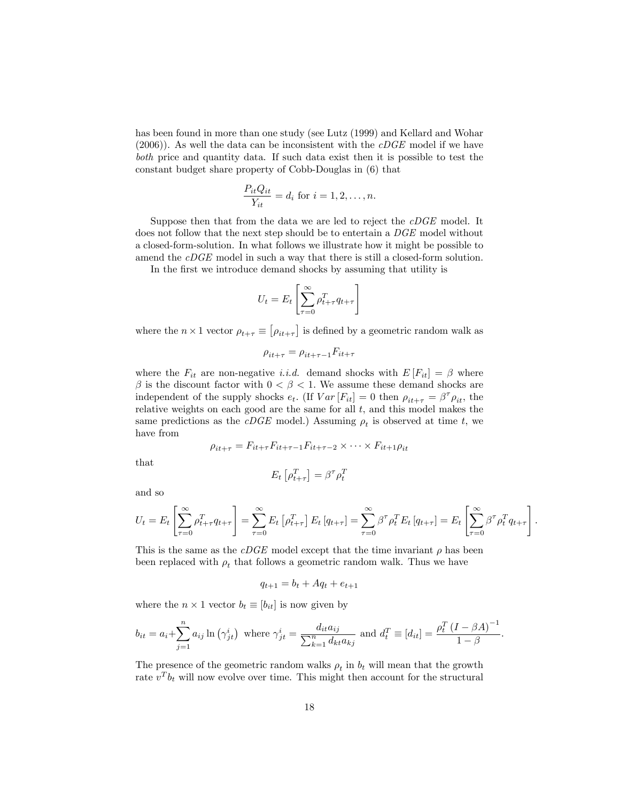has been found in more than one study (see Lutz (1999) and Kellard and Wohar  $(2006)$ ). As well the data can be inconsistent with the *cDGE* model if we have both price and quantity data. If such data exist then it is possible to test the constant budget share property of Cobb-Douglas in (6) that

$$
\frac{P_{it}Q_{it}}{Y_{it}} = d_i \text{ for } i = 1, 2, \dots, n.
$$

Suppose then that from the data we are led to reject the cDGE model. It does not follow that the next step should be to entertain a  $DGE$  model without a closed-form-solution. In what follows we illustrate how it might be possible to amend the *cDGE* model in such a way that there is still a closed-form solution.

In the first we introduce demand shocks by assuming that utility is

$$
U_t = E_t \left[ \sum_{\tau=0}^{\infty} \rho_{t+\tau}^T q_{t+\tau} \right]
$$

where the  $n \times 1$  vector  $\rho_{t+\tau} \equiv \lbrack \rho_{it+\tau} \rbrack$  is defined by a geometric random walk as

$$
\rho_{it+\tau} = \rho_{it+\tau-1} F_{it+\tau}
$$

where the  $F_{it}$  are non-negative *i.i.d.* demand shocks with  $E[F_{it}] = \beta$  where  $\beta$  is the discount factor with  $0 < \beta < 1$ . We assume these demand shocks are independent of the supply shocks  $e_t$ . (If  $Var[F_{it}] = 0$  then  $\rho_{it+\tau} = \beta^{\tau} \rho_{it}$ , the relative weights on each good are the same for all  $t$ , and this model makes the same predictions as the *cDGE* model.) Assuming  $\rho_t$  is observed at time t, we have from

$$
\rho_{it+\tau} = F_{it+\tau} F_{it+\tau-1} F_{it+\tau-2} \times \cdots \times F_{it+1} \rho_{it}
$$

that

$$
E_t\left[\rho_{t+\tau}^T\right]=\beta^\tau\rho_t^T
$$

and so

$$
U_t = E_t \left[ \sum_{\tau=0}^{\infty} \rho_{t+\tau}^T q_{t+\tau} \right] = \sum_{\tau=0}^{\infty} E_t \left[ \rho_{t+\tau}^T \right] E_t \left[ q_{t+\tau} \right] = \sum_{\tau=0}^{\infty} \beta^{\tau} \rho_t^T E_t \left[ q_{t+\tau} \right] = E_t \left[ \sum_{\tau=0}^{\infty} \beta^{\tau} \rho_t^T q_{t+\tau} \right].
$$

This is the same as the  $cDGE$  model except that the time invariant  $\rho$  has been been replaced with  $\rho_t$  that follows a geometric random walk. Thus we have

$$
q_{t+1} = b_t + Aq_t + e_{t+1}
$$

where the  $n \times 1$  vector  $b_t \equiv [b_{it}]$  is now given by

$$
b_{it} = a_i + \sum_{j=1}^n a_{ij} \ln(\gamma_{jt}^i)
$$
 where  $\gamma_{jt}^i = \frac{d_{it}a_{ij}}{\sum_{k=1}^n d_{kt}a_{kj}}$  and  $d_t^T \equiv [d_{it}] = \frac{\rho_t^T (I - \beta A)^{-1}}{1 - \beta}$ .

The presence of the geometric random walks  $\rho_t$  in  $b_t$  will mean that the growth rate  $v^T b_t$  will now evolve over time. This might then account for the structural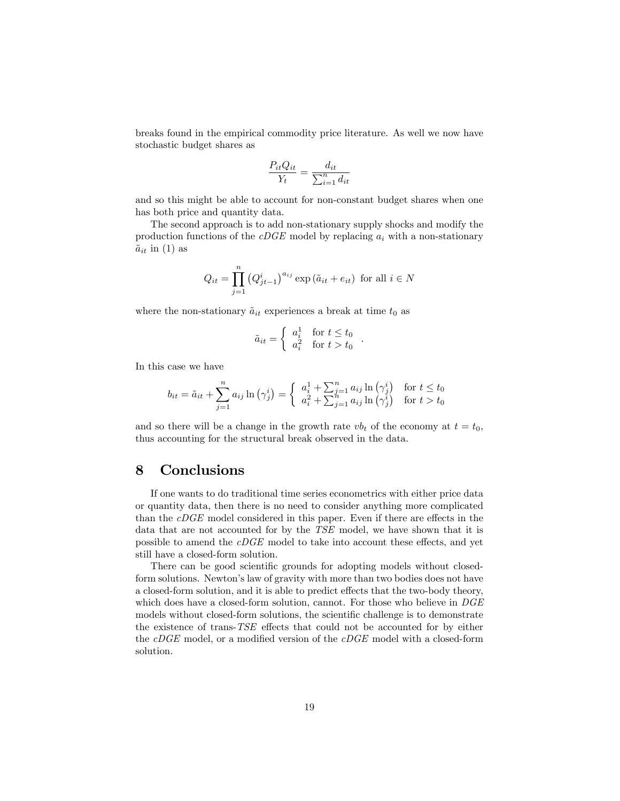breaks found in the empirical commodity price literature. As well we now have stochastic budget shares as

$$
\frac{P_{it}Q_{it}}{Y_t} = \frac{d_{it}}{\sum_{i=1}^n d_{it}}
$$

and so this might be able to account for non-constant budget shares when one has both price and quantity data.

The second approach is to add non-stationary supply shocks and modify the production functions of the  $cDGE$  model by replacing  $a_i$  with a non-stationary  $\tilde{a}_{it}$  in (1) as

$$
Q_{it} = \prod_{j=1}^{n} (Q_{jt-1}^{i})^{a_{ij}} \exp(\tilde{a}_{it} + e_{it})
$$
 for all  $i \in N$ 

where the non-stationary  $\tilde{a}_{it}$  experiences a break at time  $t_0$  as

$$
\tilde{a}_{it} = \begin{cases}\n a_i^1 & \text{for } t \le t_0 \\
a_i^2 & \text{for } t > t_0\n\end{cases}
$$

:

In this case we have

$$
b_{it} = \tilde{a}_{it} + \sum_{j=1}^{n} a_{ij} \ln\left(\gamma_j^i\right) = \begin{cases} a_i^1 + \sum_{j=1}^{n} a_{ij} \ln\left(\gamma_j^i\right) & \text{for } t \le t_0\\ a_i^2 + \sum_{j=1}^{n} a_{ij} \ln\left(\gamma_j^i\right) & \text{for } t > t_0 \end{cases}
$$

and so there will be a change in the growth rate  $vb_t$  of the economy at  $t = t_0$ , thus accounting for the structural break observed in the data.

### 8 Conclusions

If one wants to do traditional time series econometrics with either price data or quantity data, then there is no need to consider anything more complicated than the  $cDGE$  model considered in this paper. Even if there are effects in the data that are not accounted for by the TSE model, we have shown that it is possible to amend the  $cDGE$  model to take into account these effects, and yet still have a closed-form solution.

There can be good scientific grounds for adopting models without closedform solutions. Newton's law of gravity with more than two bodies does not have a closed-form solution, and it is able to predict effects that the two-body theory, which does have a closed-form solution, cannot. For those who believe in  $DGE$ models without closed-form solutions, the scientific challenge is to demonstrate the existence of trans-TSE effects that could not be accounted for by either the  $cDGE$  model, or a modified version of the  $cDGE$  model with a closed-form solution.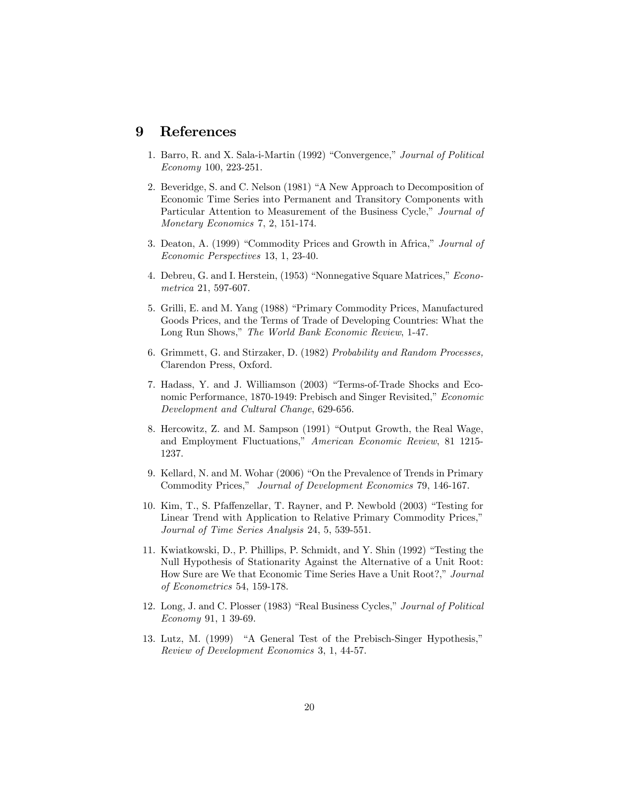## 9 References

- 1. Barro, R. and X. Sala-i-Martin (1992) "Convergence," Journal of Political Economy 100, 223-251.
- 2. Beveridge, S. and C. Nelson (1981) "A New Approach to Decomposition of Economic Time Series into Permanent and Transitory Components with Particular Attention to Measurement of the Business Cycle," Journal of Monetary Economics 7, 2, 151-174.
- 3. Deaton, A. (1999) "Commodity Prices and Growth in Africa," Journal of Economic Perspectives 13, 1, 23-40.
- 4. Debreu, G. and I. Herstein, (1953) "Nonnegative Square Matrices," Econometrica 21, 597-607.
- 5. Grilli, E. and M. Yang (1988) "Primary Commodity Prices, Manufactured Goods Prices, and the Terms of Trade of Developing Countries: What the Long Run Shows," The World Bank Economic Review, 1-47.
- 6. Grimmett, G. and Stirzaker, D. (1982) Probability and Random Processes, Clarendon Press, Oxford.
- 7. Hadass, Y. and J. Williamson (2003) "Terms-of-Trade Shocks and Economic Performance, 1870-1949: Prebisch and Singer Revisited," Economic Development and Cultural Change, 629-656.
- 8. Hercowitz, Z. and M. Sampson (1991) "Output Growth, the Real Wage, and Employment Fluctuations," American Economic Review, 81 1215-1237.
- 9. Kellard, N. and M. Wohar (2006) "On the Prevalence of Trends in Primary Commodity Prices," Journal of Development Economics 79, 146-167.
- 10. Kim, T., S. Pfaffenzellar, T. Rayner, and P. Newbold (2003) "Testing for Linear Trend with Application to Relative Primary Commodity Prices,' Journal of Time Series Analysis 24, 5, 539-551.
- 11. Kwiatkowski, D., P. Phillips, P. Schmidt, and Y. Shin (1992) "Testing the Null Hypothesis of Stationarity Against the Alternative of a Unit Root: How Sure are We that Economic Time Series Have a Unit Root?," Journal of Econometrics 54, 159-178.
- 12. Long, J. and C. Plosser (1983) "Real Business Cycles," Journal of Political Economy 91, 1 39-69.
- 13. Lutz, M. (1999) "A General Test of the Prebisch-Singer Hypothesis," Review of Development Economics 3, 1, 44-57.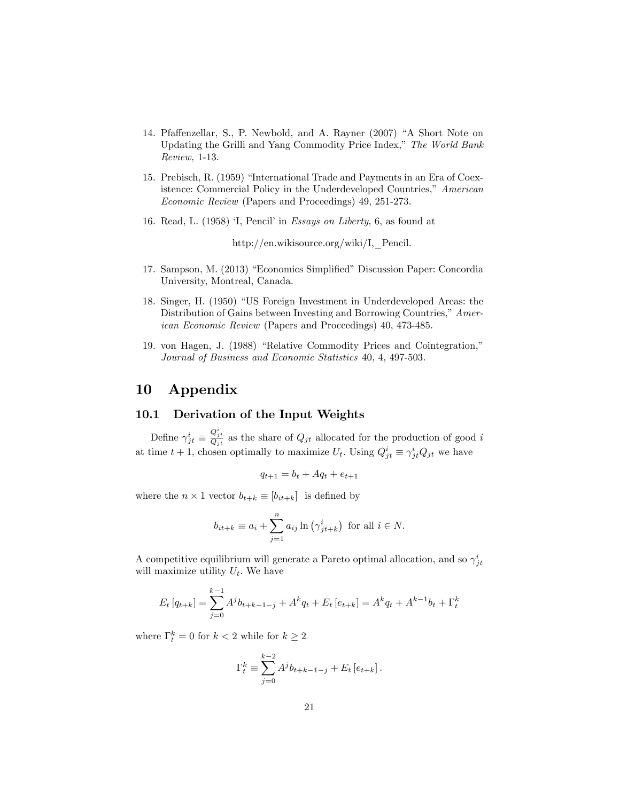- 14. Pfaffenzellar, S., P. Newbold, and A. Rayner (2007) "A Short Note on Updating the Grilli and Yang Commodity Price Index," The World Bank Review, 1-13.
- 15. Prebisch, R. (1959) "International Trade and Payments in an Era of Coexistence: Commercial Policy in the Underdeveloped Countries," American Economic Review (Papers and Proceedings) 49, 251-273.
- 16. Read, L.  $(1958)$  'I, Pencil' in Essays on Liberty, 6, as found at

http://en.wikisource.org/wiki/I,\_Pencil.

- 17. Sampson, M. (2013) "Economics Simplified" Discussion Paper: Concordia University, Montreal, Canada.
- 18. Singer, H. (1950) "US Foreign Investment in Underdeveloped Areas: the Distribution of Gains between Investing and Borrowing Countries," American Economic Review (Papers and Proceedings) 40, 473-485.
- 19. von Hagen, J. (1988) "Relative Commodity Prices and Cointegration," Journal of Business and Economic Statistics 40, 4, 497-503.

# 10 Appendix

#### 10.1 Derivation of the Input Weights

Define  $\gamma_{jt}^{i} \equiv$  $\frac{Q_{jt}^i}{Q_{jt}}$  as the share of  $Q_{jt}$  allocated for the production of good i at time  $t + 1$ , chosen optimally to maximize  $U_t$ . Using  $Q_{jt}^i \equiv \gamma_{jt}^i Q_{jt}$  we have

$$
q_{t+1} = b_t + Aq_t + e_{t+1}
$$

where the  $n \times 1$  vector  $b_{t+k} \equiv [b_{it+k}]$  is defined by

$$
b_{it+k} \equiv a_i + \sum_{j=1}^n a_{ij} \ln(\gamma^i_{jt+k})
$$
 for all  $i \in N$ .

A competitive equilibrium will generate a Pareto optimal allocation, and so  $\gamma_{jt}^i$ will maximize utility  $U_t$ . We have

$$
E_t [q_{t+k}] = \sum_{j=0}^{k-1} A^j b_{t+k-1-j} + A^k q_t + E_t [e_{t+k}] = A^k q_t + A^{k-1} b_t + \Gamma_t^k
$$

where  $\Gamma_t^k = 0$  for  $k < 2$  while for  $k \geq 2$ 

$$
\Gamma_t^k \equiv \sum_{j=0}^{k-2} A^j b_{t+k-1-j} + E_t [e_{t+k}].
$$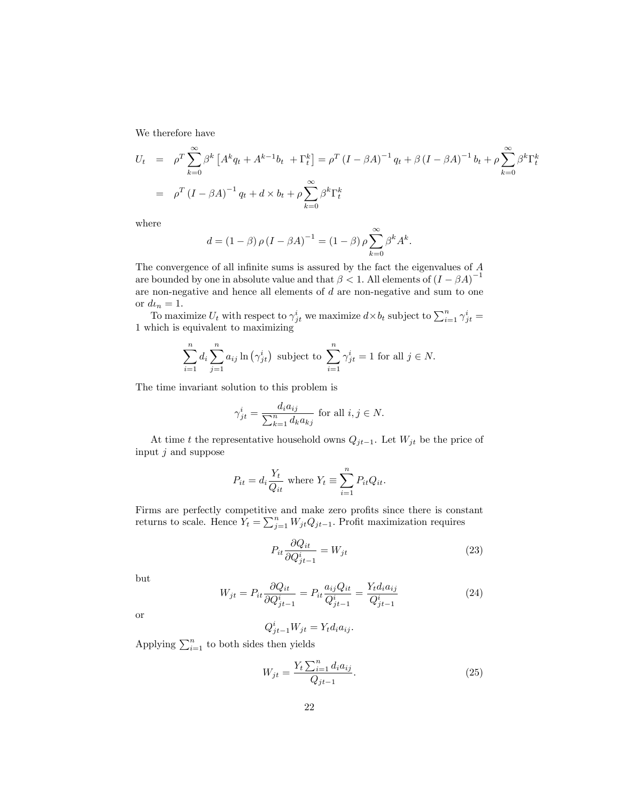We therefore have

$$
U_t = \rho^T \sum_{k=0}^{\infty} \beta^k \left[ A^k q_t + A^{k-1} b_t + \Gamma_t^k \right] = \rho^T \left( I - \beta A \right)^{-1} q_t + \beta \left( I - \beta A \right)^{-1} b_t + \rho \sum_{k=0}^{\infty} \beta^k \Gamma_t^k
$$
  
=  $\rho^T \left( I - \beta A \right)^{-1} q_t + d \times b_t + \rho \sum_{k=0}^{\infty} \beta^k \Gamma_t^k$ 

where

$$
d = (1 - \beta) \rho (I - \beta A)^{-1} = (1 - \beta) \rho \sum_{k=0}^{\infty} \beta^{k} A^{k}.
$$

The convergence of all infinite sums is assured by the fact the eigenvalues of  $A$ are bounded by one in absolute value and that  $\beta < 1$ . All elements of  $(I - \beta A)^{-1}$ are non-negative and hence all elements of d are non-negative and sum to one or  $d\iota_n = 1$ .

To maximize  $U_t$  with respect to  $\gamma_{jt}^i$  we maximize  $d \times b_t$  subject to  $\sum_{i=1}^n \gamma_{jt}^i =$ 1 which is equivalent to maximizing

$$
\sum_{i=1}^{n} d_i \sum_{j=1}^{n} a_{ij} \ln(\gamma_{jt}^i)
$$
 subject to 
$$
\sum_{i=1}^{n} \gamma_{jt}^i = 1
$$
 for all  $j \in N$ .

The time invariant solution to this problem is

$$
\gamma_{jt}^{i} = \frac{d_i a_{ij}}{\sum_{k=1}^{n} d_k a_{kj}} \text{ for all } i, j \in N.
$$

At time t the representative household owns  $Q_{jt-1}$ . Let  $W_{jt}$  be the price of input  $j$  and suppose

$$
P_{it} = d_i \frac{Y_t}{Q_{it}} \text{ where } Y_t \equiv \sum_{i=1}^n P_{it} Q_{it}.
$$

Firms are perfectly competitive and make zero profits since there is constant returns to scale. Hence  $Y_t = \sum_{j=1}^n W_{jt} Q_{jt-1}$ . Profit maximization requires

$$
P_{it} \frac{\partial Q_{it}}{\partial Q_{jt-1}^i} = W_{jt} \tag{23}
$$

but

$$
W_{jt} = P_{it} \frac{\partial Q_{it}}{\partial Q_{jt-1}^i} = P_{it} \frac{a_{ij} Q_{it}}{Q_{jt-1}^i} = \frac{Y_t d_i a_{ij}}{Q_{jt-1}^i}
$$
(24)

or

$$
Q_{jt-1}^i W_{jt} = Y_t d_i a_{ij}.
$$

Applying  $\sum_{i=1}^{n}$  to both sides then yields

$$
W_{jt} = \frac{Y_t \sum_{i=1}^{n} d_i a_{ij}}{Q_{jt-1}}.
$$
\n(25)